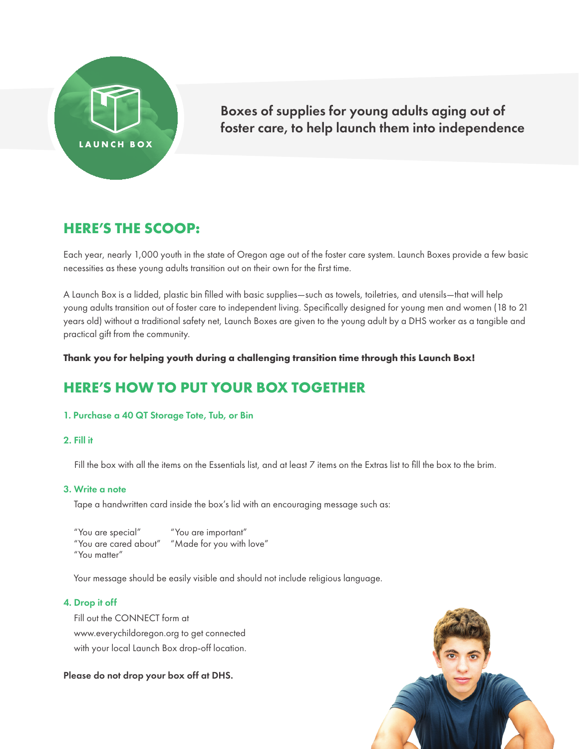

## Boxes of supplies for young adults aging out of foster care, to help launch them into independence

## **HERE'S THE SCOOP:**

Each year, nearly 1,000 youth in the state of Oregon age out of the foster care system. Launch Boxes provide a few basic necessities as these young adults transition out on their own for the first time.

A Launch Box is a lidded, plastic bin filled with basic supplies—such as towels, toiletries, and utensils—that will help young adults transition out of foster care to independent living. Specifically designed for young men and women (18 to 21 years old) without a traditional safety net, Launch Boxes are given to the young adult by a DHS worker as a tangible and practical gift from the community.

**Thank you for helping youth during a challenging transition time through this Launch Box!**

# **HERE'S HOW TO PUT YOUR BOX TOGETHER**

### 1. Purchase a 40 QT Storage Tote, Tub, or Bin

#### 2. Fill it

Fill the box with all the items on the Essentials list, and at least 7 items on the Extras list to fill the box to the brim.

### 3. Write a note

Tape a handwritten card inside the box's lid with an encouraging message such as:

"You are important" "You are cared about" "Made for you with love" "You are special" "You matter"

Your message should be easily visible and should not include religious language.

#### 4. Drop it off

Fill out the CONNECT form at www.everychildoregon.org to get connected with your local Launch Box drop-off location.

Please do not drop your box off at DHS.